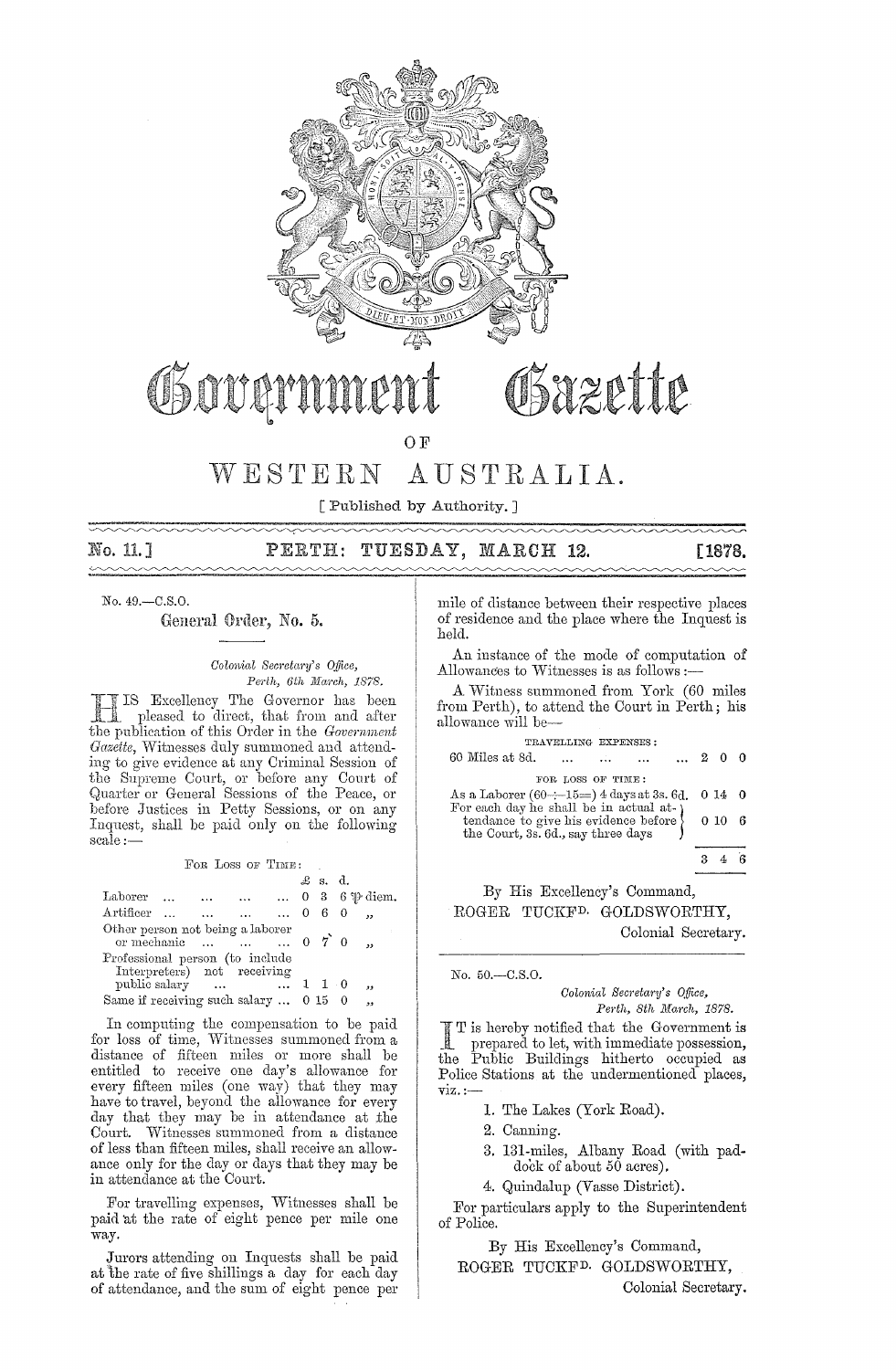

OSOUGY

#### WESTERN AUSTRALIA.

O<sub>F</sub>

[ Published by Authority.]

No. 11.]  $\sim$ 

#### TUESDAY, MARCH 12. PERTH:

## [1878.

No. 49.-C.S.O.

General Order, No. 5.

Colonial Secretary's Office, Perth, 6th March, 1878.

IS Excellency The Governor has been pleased to direct, that from and after the publication of this Order in the Government Gazette, Witnesses duly summoned and attending to give evidence at any Criminal Session of the Supreme Court, or before any Court of<br>Quarter or General Sessions of the Peace, or before Justices in Petty Sessions, or on any Inquest, shall be paid only on the following scale:-

|  |  |               |  |                                                                                                    |                   |  | دد                                                                                                                                                                |                                               |
|--|--|---------------|--|----------------------------------------------------------------------------------------------------|-------------------|--|-------------------------------------------------------------------------------------------------------------------------------------------------------------------|-----------------------------------------------|
|  |  |               |  |                                                                                                    |                   |  | ,,                                                                                                                                                                |                                               |
|  |  | public salary |  | Other person not being a laborer<br>Professional person (to include<br>Interpreters) not receiving | FOR LOSS OF TIME: |  | $\pounds$ s. d.<br>Artificer     0 6 0<br>or mechanic $\ldots$ $\ldots$ $\ldots$ 0 $7$ 0<br>$\dots$ $\dots$ $110$<br>Same if receiving such salary $\dots$ 0 15 0 | Laborer $0 \quad 3 \quad 6 \mathcal{P}$ diem. |

In computing the compensation to be paid for loss of time, Witnesses summoned from a distance of fifteen miles or more shall be entitled to receive one day's allowance for every fifteen miles (one way) that they may<br>have to travel, beyond the allowance for every day that they may be in attendance at the Court. Witnesses summoned from a distance of less than fifteen miles, shall receive an allowance only for the day or days that they may be in attendance at the Court.

For travelling expenses, Witnesses shall be paid at the rate of eight pence per mile one way.

Jurors attending on Inquests shall be paid at the rate of five shillings a day for each day of attendance, and the sum of eight pence per mile of distance between their respective places of residence and the place where the Inquest is held.

An instance of the mode of computation of Allowances to Witnesses is as follows :-

A Witness summoned from York (60 miles from Perth), to attend the Court in Perth; his allowance will be-

|                                                                                                       | TRAVELLING EXPENSES: |          |                              |                |         |     |
|-------------------------------------------------------------------------------------------------------|----------------------|----------|------------------------------|----------------|---------|-----|
| 60 Miles at 8d.                                                                                       |                      | $\cdots$ | $\sim$ 100 $\sim$ 100 $\sim$ | $\ldots$ 2 0 0 |         |     |
|                                                                                                       | FOR LOSS OF TIME:    |          |                              |                |         |     |
| As a Laborer $(60 \div 15 = 4$ days at 3s. 6d.                                                        |                      |          |                              |                | $014$ 0 |     |
| For each day he shall be in actual at-                                                                |                      |          |                              |                |         |     |
| tendance to give his evidence before $\left\{ \begin{array}{c} 0 & 10 \\ 0 & 10 \end{array} \right\}$ |                      |          |                              |                |         | - 6 |
|                                                                                                       |                      |          |                              |                |         |     |
|                                                                                                       |                      |          |                              |                |         |     |

By His Excellency's Command, ROGER TUCKF<sup>D.</sup> GOLDSWORTHY, Colonial Secretary.

No. 50.-C.S.O.

Colonial Secretary's Office, Perth, 8th March, 1878.

T is hereby notified that the Government is  $\overline{\phantom{0}}$ prepared to let, with immediate possession, the Public Buildings hitherto occupied as Police Stations at the undermentioned places,  $\overline{\text{viz}}$ . :-

1. The Lakes (York Road).

- 2. Canning.
- 3. 131-miles, Albany Road (with pad-<br>dock of about 50 acres).

4. Quindalup (Vasse District).

For particulars apply to the Superintendent of Police.

By His Excellency's Command, ROGER TUCKF<sup>D.</sup> GOLDSWORTHY,

Colonial Secretary.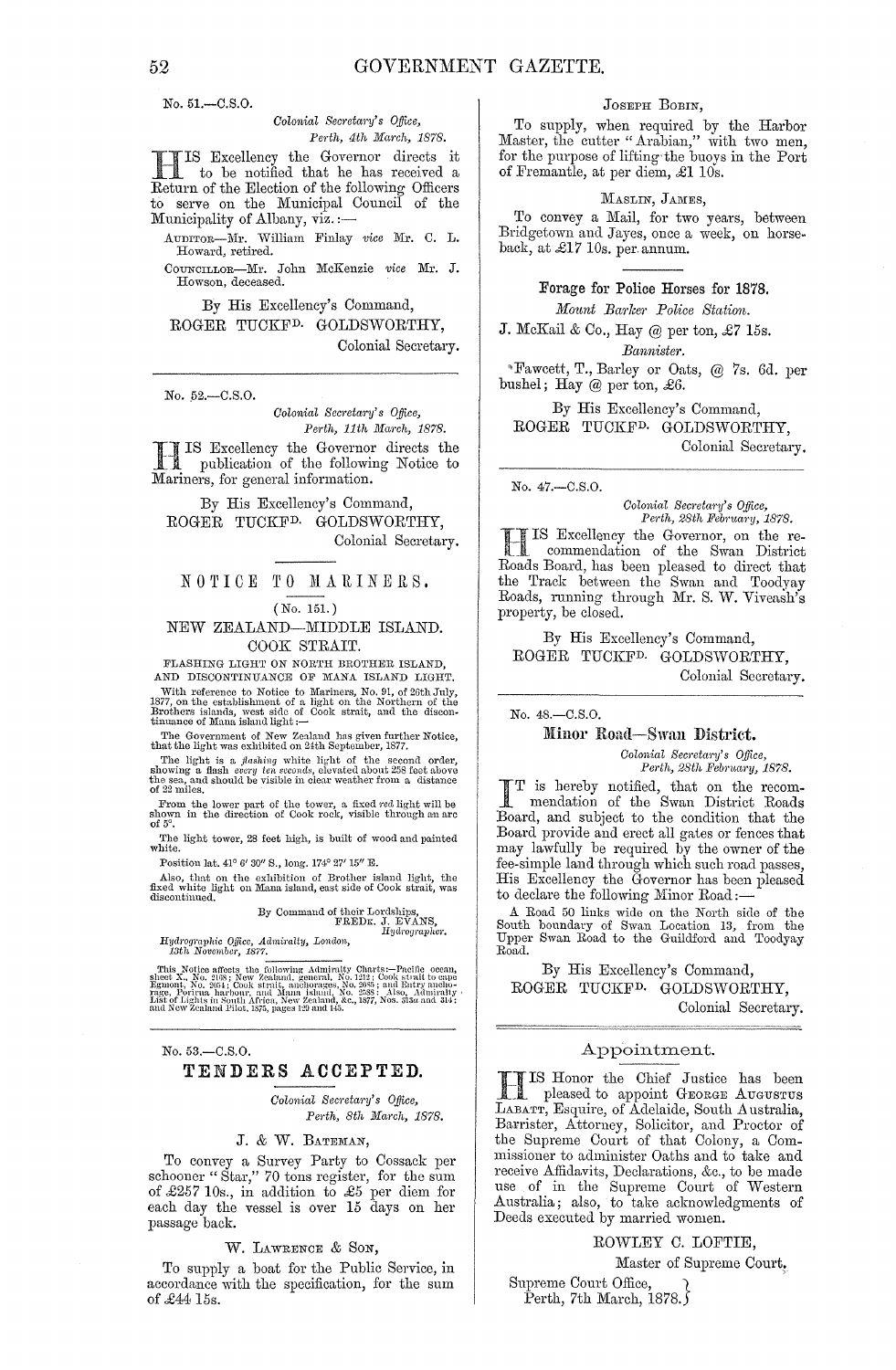No. 51.-C.S.0.

#### *Colonial Secretary's Office, Pej·th, 4th Maj'ch, 1878.*

HIS Excellency the Goyernor directs it to be notified that he has received a Return of the Election of the following Officers to serve on the Municipal Council of the Municipality of Albany, viz.:-

AUDITOR-nil'. William Finlay *vice* Mr. C. L. Howard, retired.

COUNCILLoR-Mr. John McKenzie *'l'ice* Mr. J. Howson, deceased.

By His Excellency's Command, ROGER TUCKFD. GOLDSWORTHY,

Colonial Secretary.

No. 52.-C.S.O.

*Colonial Secretary's Office,* Perth, 11th March, 1878.

I IS Excellency the Governor<br>
1 publication of the followin<br>
Mariners, for general information. .1 IS Excellency the Governor directs the publication of the following Notice to

By His Excellency's Command, ROGER TUCKFD. GOLDSWORTHY, Colonial Secretary.

# NOTICE TO MARINERS.

#### (No. 151.)

NEW ZEALAND-MIDDLE ISLAND. COOK STRAIT.

FLASHING LIGHT ON NORTH BROTHER ISLAND, AND DISCONTINUANCE OF MANA ISLAND LIGHT.

With reference to Notice to Mariners, No. 91, of 26th July, 1877, on the establishment of a light on the Northern of the Brothers islands, west side of Cook strait, and the disconfinance of Mana island light :-

The Government of New Zealand has given further Notice, that the light was exhibited on 24th September, 1877.

The light is a *flashing* white light of the second order, showing a flash *cvcry ten seconds*, elevated about 258 feet above the sea, and should be visible in clear weather from a distance of 22 miles.

From the lower part of the tower, a fixed red light will be shown in the direction of Cook rock, visible through an arc of  $5^{\circ}$ .

The light tower, 28 feet high, is built of wood and painted white.

Position Jat. *41°* G' *30/1* S., long. *174°* 27' *15/1* E.

Also, that on the exhibition of Brother island light, the fixed white light on Mana island, east side of Cook strait, was discontinued.

By Command of their Lordships,<br>FREDK. J. EVANS,<br>*Hydrographer*.

*Hyd,'ogral)hic QUice, Admitalty, London, 13th November, 1877.* 

This Notice affects the following Admiralty Charts:—Pacific ocean, sheet X., No. 2035; New Zeahand, general, No. 1212; Cook strait to enpergue and Egmont, No. 2054; Cook strait, anchorages, No. 2055; and Entry anelogies,

No. 53,-C.S.O.

## TENDERS ACCEPTED.

*Colonial Sec)'etary's Office, Perth, 8th March, 1878.* 

## J. & VV. BATEMAN,

To convey a Survey Party to Cossack per schooner "Star," 70 tons register, for the sum of £257 10s., in addition to £5 per diem for each day the vessel is over 15 days on her passage back.

W. LAWRENCE & SON,

To supply a boat for the Public Service, in accordance with the specification, for the sum of £4415s.

#### JOSEPH BOBIN,

To supply, when required by the Harbor Master, the cutter "Arabian," with two men, for the purpose of lifting the buoys in the Port of Fremantle, at per diem, £1 10s.

#### MASLIN, JAMES,

To convey a Mail, for two years, between Bridgetown and Jayes, once a week, on horseback, at £17 10s. per. annum.

> Forage for Police Horses for 1878,  $Mount$  *Barker Police Station.*

J. McKail & Co., Hay @ per ton, £7 15s. *Bannister.* 

-Fawcett, T., Barley or Oats, @ 7s. 6d. per bushel; Hay @ per ton, £6.

By His Excellency's Command, ROGER TUCKFD. GOLDSWORTHY, Colonial Secretary.

No. 47.-C.S.0.

*Colonial Secretary's Office,*<br> *Perth, 28th February, 1878.* 

IS Excellency the Governor, on the recommendation of the Swan District Roads Board, has been pleased to direct that the Track between the Swan and Toodyay Roads, running through Mr. S. W. Viveash's property, be closed.

By His Excellency's Command, ROGER TUCKFD. GOLDSWORTHY, Colonial Secretary.

No. 4S.-C.S.0.

#### Minor Road-Swan District.

*Colonial Secretary's Office,*  $Perth, 28th$  February, 1878.

I T is hereby notified, that on the recom· mendation of the Swan District Roads Board, and subject to the condition that the Board provide and erect all gates or fences that may lawfully be required by the owner of the fee-simple land through which such road passes, His Excellency the Governor has been pleased to declare the following Minor Road:-

A Road 50 links wide on the North side of the South boundary of Swan Location 13, from the Upper Swan Road to the Guildford and Toodyay Road.

By His Excellency's Command, ROGER TUCKFD. GOLDSWORTHY, Colonial Secretary.

#### Appointment.

FIIS Honor the Chief Justice has been \_ pleased to appoint GEORGE AUGuS'rus LABATT, Esquire, of Adelaide, South Australia, Barrister, Attorney, Solicitor, and Proctor of the Supreme Court of that Colony, a Commissioner to administer Oaths and to take and receive Affidavits, Declarations, &c., to be made use of in the Supreme Court of Western Australia; also, to take acknowledgments of Deeds executed by married women.

ROWLEY C. LOFTIE,

Master of Supreme Court,

Supreme Court Office, } Perth, 7th March, 1878. $\zeta$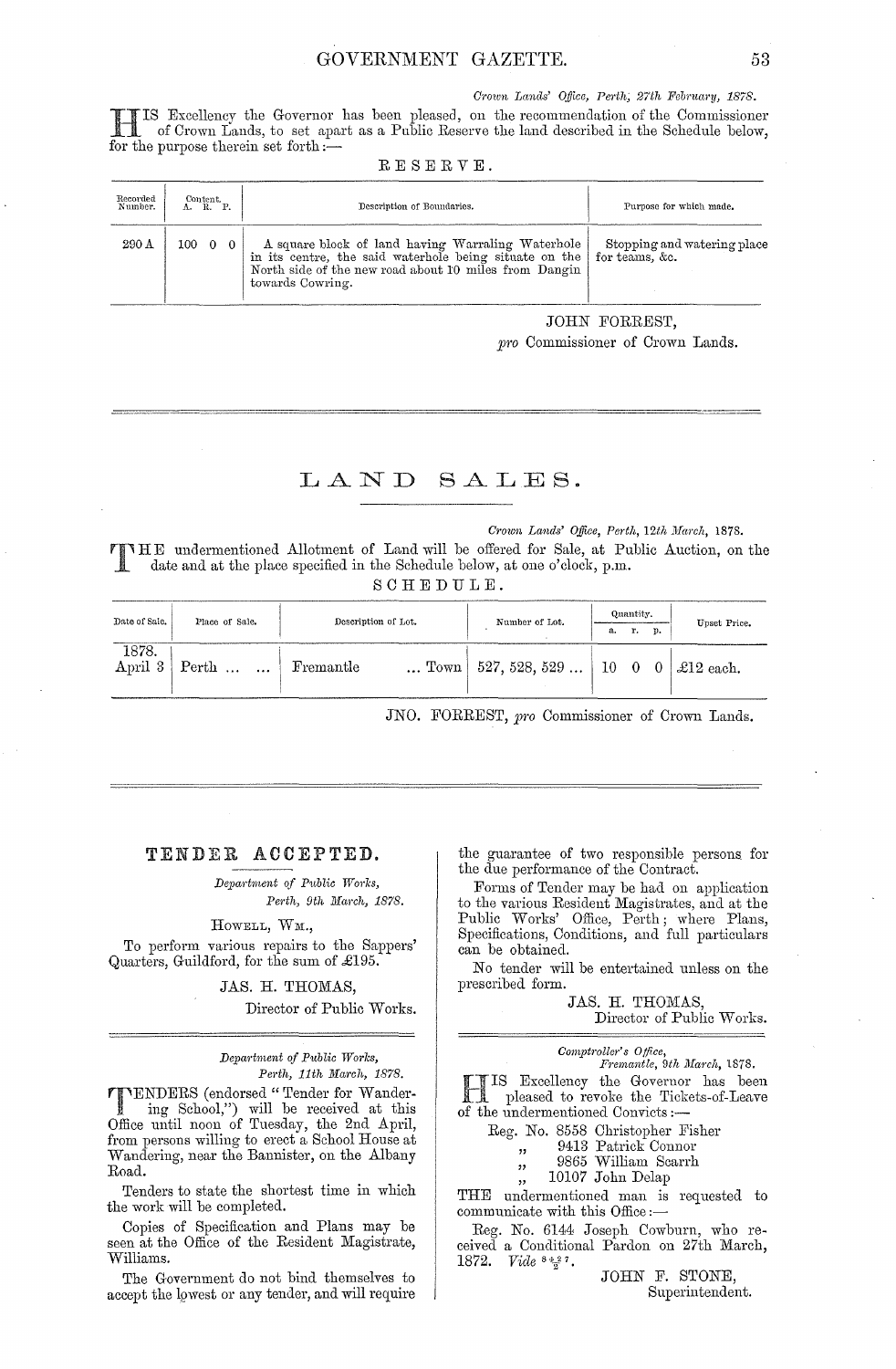Crown Lands' Office, Perth, 27th February, 1878.

IS Excellency the Governor has been pleased, on the recommendation of the Commissioner of Crown Lands, to set apart as a Public Reserve the land described in the Schedule below, for the purpose therein set forth  $\sim$ 

| Recorded<br>Number. | Content.<br>A. R. P. |          | Description of Boundaries.                                                                                                                                                               | Purpose for which made.                           |  |  |  |
|---------------------|----------------------|----------|------------------------------------------------------------------------------------------------------------------------------------------------------------------------------------------|---------------------------------------------------|--|--|--|
| 290 A               | 100.                 | $\Omega$ | A square block of land having Warraling Waterhole<br>in its centre, the said waterhole being situate on the<br>North side of the new road about 10 miles from Dangin<br>towards Cowring. | Stopping and watering place<br>for teams, $\&c$ . |  |  |  |

#### RESERVE.

**JOHN FORREST.** 

pro Commissioner of Crown Lands.

## LAND SALES.

#### Crown Lands' Office, Perth, 12th March, 1878.

THE undermentioned Allotment of Land will be offered for Sale, at Public Auction, on the date and at the place specified in the Schedule below, at one o'clock, p.m.

SCHEDULE.

| Date of Sale. | Place of Sale.                          | Description of Lot. |                                        | Quantity,<br>p.<br>r.<br>а. |  |  | Upset Price.   |
|---------------|-----------------------------------------|---------------------|----------------------------------------|-----------------------------|--|--|----------------|
| 1878.         | April $3 \mid \text{Perth} \dots \dots$ | Fremantle           | $\ldots$ Town   527, 528, 529 $\ldots$ | $10 \quad 0 \quad 0$        |  |  | $\pm 12$ each. |

JNO. FORREST, pro Commissioner of Crown Lands.

#### TENDER ACCEPTED.

Department of Public Works, Perth, 9th March, 1878.

#### HOWELL, WM.,

To perform various repairs to the Sappers' Quarters, Guildford, for the sum of £195.

JAS. H. THOMAS,

Director of Public Works.

Department of Public Works, Perth, 11th March, 1878.

**TIMERS** (endorsed "Tender for Wandering School,") will be received at this Office until noon of Tuesday, the 2nd April, from persons willing to erect a School House at Wandering, near the Bannister, on the Albany Road.

Tenders to state the shortest time in which the work will be completed.

Copies of Specification and Plans may be seen at the Office of the Resident Magistrate, Williams.

The Government do not bind themselves to accept the lowest or any tender, and will require the guarantee of two responsible persons for the due performance of the Contract.

Forms of Tender may be had on application to the various Resident Magistrates, and at the Public Works' Office, Perth; where Plans,<br>Specifications, Conditions, and full particulars can be obtained.

No tender will be entertained unless on the prescribed form.

> JAS. H. THOMAS, Director of Public Works.

| omptroller's Office,        |  |  |
|-----------------------------|--|--|
| Fremantle, 9th March, 1878. |  |  |

IS Excellency the Governor has been<br>In pleased to revoke the Tickets-of-Leave of the undermentioned Convicts:-

 $\overline{c}$ 

 $22$ 

 $, ,$ 

 $, ,$ 

Reg. No. 8558 Christopher Fisher

9413 Patrick Connor

9865 William Scarrh

10107 John Delap

THE undermentioned man is requested to communicate with this Office :-

Reg. No. 6144 Joseph Cowburn, who received a Conditional Pardon on 27th March, 1872. *Vide*  $5427$ .

JOHN F. STONE, Superintendent.